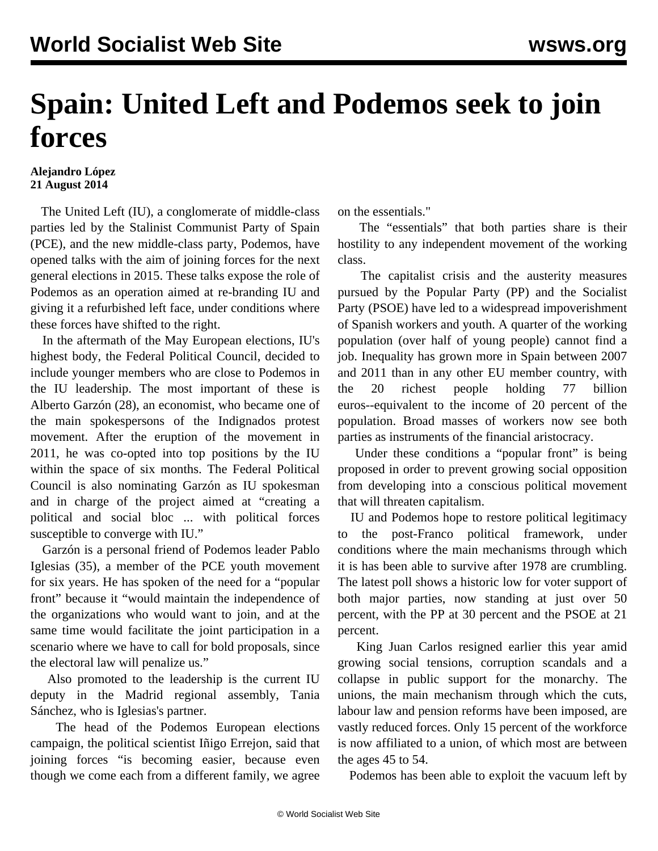## **Spain: United Left and Podemos seek to join forces**

## **Alejandro López 21 August 2014**

 The United Left (IU), a conglomerate of middle-class parties led by the Stalinist Communist Party of Spain (PCE), and the new middle-class party, Podemos, have opened talks with the aim of joining forces for the next general elections in 2015. These talks expose the role of Podemos as an operation aimed at re-branding IU and giving it a refurbished left face, under conditions where these forces have shifted to the right.

 In the aftermath of the May European elections, IU's highest body, the Federal Political Council, decided to include younger members who are close to Podemos in the IU leadership. The most important of these is Alberto Garzón (28), an economist, who became one of the main spokespersons of the Indignados protest movement. After the eruption of the movement in 2011, he was co-opted into top positions by the IU within the space of six months. The Federal Political Council is also nominating Garzón as IU spokesman and in charge of the project aimed at "creating a political and social bloc ... with political forces susceptible to converge with IU."

 Garzón is a personal friend of Podemos leader Pablo Iglesias (35), a member of the PCE youth movement for six years. He has spoken of the need for a "popular front" because it "would maintain the independence of the organizations who would want to join, and at the same time would facilitate the joint participation in a scenario where we have to call for bold proposals, since the electoral law will penalize us."

 Also promoted to the leadership is the current IU deputy in the Madrid regional assembly, Tania Sánchez, who is Iglesias's partner.

 The head of the Podemos European elections campaign, the political scientist Iñigo Errejon, said that joining forces "is becoming easier, because even though we come each from a different family, we agree on the essentials."

 The "essentials" that both parties share is their hostility to any independent movement of the working class.

 The capitalist crisis and the austerity measures pursued by the Popular Party (PP) and the Socialist Party (PSOE) have led to a widespread impoverishment of Spanish workers and youth. A quarter of the working population (over half of young people) cannot find a job. Inequality has grown more in Spain between 2007 and 2011 than in any other EU member country, with the 20 richest people holding 77 billion euros--equivalent to the income of 20 percent of the population. Broad masses of workers now see both parties as instruments of the financial aristocracy.

 Under these conditions a "popular front" is being proposed in order to prevent growing social opposition from developing into a conscious political movement that will threaten capitalism.

 IU and Podemos hope to restore political legitimacy to the post-Franco political framework, under conditions where the main mechanisms through which it is has been able to survive after 1978 are crumbling. The latest poll shows a historic low for voter support of both major parties, now standing at just over 50 percent, with the PP at 30 percent and the PSOE at 21 percent.

 King Juan Carlos resigned earlier this year amid growing social tensions, corruption scandals and a collapse in public support for the monarchy. The unions, the main mechanism through which the cuts, labour law and pension reforms have been imposed, are vastly reduced forces. Only 15 percent of the workforce is now affiliated to a union, of which most are between the ages 45 to 54.

Podemos has been able to exploit the vacuum left by